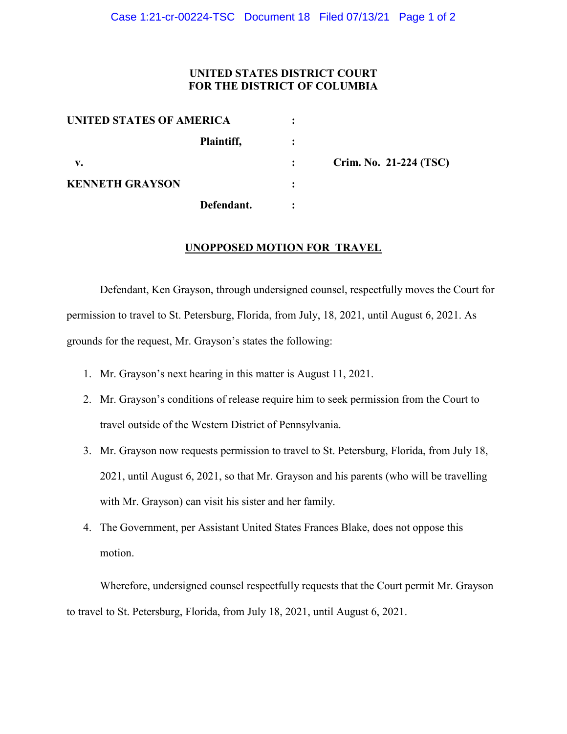## **UNITED STATES DISTRICT COURT FOR THE DISTRICT OF COLUMBIA**

| UNITED STATES OF AMERICA |            |   |                          |
|--------------------------|------------|---|--------------------------|
|                          | Plaintiff, |   |                          |
| v.                       |            |   | Crim. No. $21-224$ (TSC) |
| <b>KENNETH GRAYSON</b>   |            |   |                          |
|                          | Defendant. | ٠ |                          |

## **UNOPPOSED MOTION FOR TRAVEL**

Defendant, Ken Grayson, through undersigned counsel, respectfully moves the Court for permission to travel to St. Petersburg, Florida, from July, 18, 2021, until August 6, 2021. As grounds for the request, Mr. Grayson's states the following:

- 1. Mr. Grayson's next hearing in this matter is August 11, 2021.
- 2. Mr. Grayson's conditions of release require him to seek permission from the Court to travel outside of the Western District of Pennsylvania.
- 3. Mr. Grayson now requests permission to travel to St. Petersburg, Florida, from July 18, 2021, until August 6, 2021, so that Mr. Grayson and his parents (who will be travelling with Mr. Grayson) can visit his sister and her family.
- 4. The Government, per Assistant United States Frances Blake, does not oppose this motion.

Wherefore, undersigned counsel respectfully requests that the Court permit Mr. Grayson to travel to St. Petersburg, Florida, from July 18, 2021, until August 6, 2021.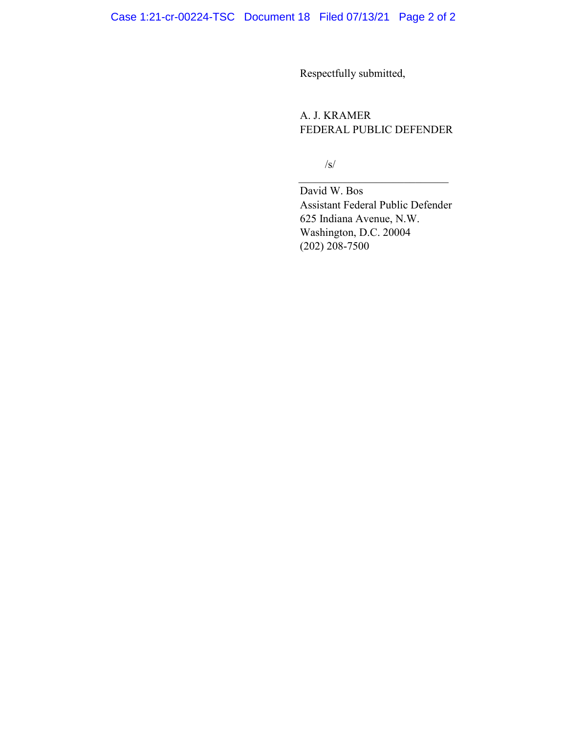Respectfully submitted,

A. J. KRAMER FEDERAL PUBLIC DEFENDER

/s/

David W. Bos Assistant Federal Public Defender 625 Indiana Avenue, N.W. Washington, D.C. 20004 (202) 208-7500

\_\_\_\_\_\_\_\_\_\_\_\_\_\_\_\_\_\_\_\_\_\_\_\_\_\_\_